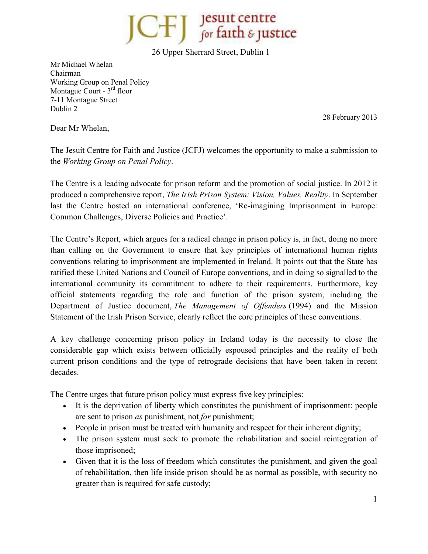**Jesuit centre<br>for faith & justice** 

26 Upper Sherrard Street, Dublin 1

Mr Michael Whelan Chairman Working Group on Penal Policy Montague Court -  $3<sup>rd</sup>$  floor 7-11 Montague Street Dublin 2

28 February 2013

Dear Mr Whelan,

The Jesuit Centre for Faith and Justice (JCFJ) welcomes the opportunity to make a submission to the *Working Group on Penal Policy*.

The Centre is a leading advocate for prison reform and the promotion of social justice. In 2012 it produced a comprehensive report, *The Irish Prison System: Vision, Values, Reality*. In September last the Centre hosted an international conference, 'Re-imagining Imprisonment in Europe: Common Challenges, Diverse Policies and Practice'.

The Centre's Report, which argues for a radical change in prison policy is, in fact, doing no more than calling on the Government to ensure that key principles of international human rights conventions relating to imprisonment are implemented in Ireland. It points out that the State has ratified these United Nations and Council of Europe conventions, and in doing so signalled to the international community its commitment to adhere to their requirements. Furthermore, key official statements regarding the role and function of the prison system, including the Department of Justice document, *The Management of Offenders* (1994) and the Mission Statement of the Irish Prison Service, clearly reflect the core principles of these conventions.

A key challenge concerning prison policy in Ireland today is the necessity to close the considerable gap which exists between officially espoused principles and the reality of both current prison conditions and the type of retrograde decisions that have been taken in recent decades.

The Centre urges that future prison policy must express five key principles:

- It is the deprivation of liberty which constitutes the punishment of imprisonment: people are sent to prison *as* punishment, not *for* punishment;
- People in prison must be treated with humanity and respect for their inherent dignity;
- The prison system must seek to promote the rehabilitation and social reintegration of those imprisoned;
- Given that it is the loss of freedom which constitutes the punishment, and given the goal of rehabilitation, then life inside prison should be as normal as possible, with security no greater than is required for safe custody;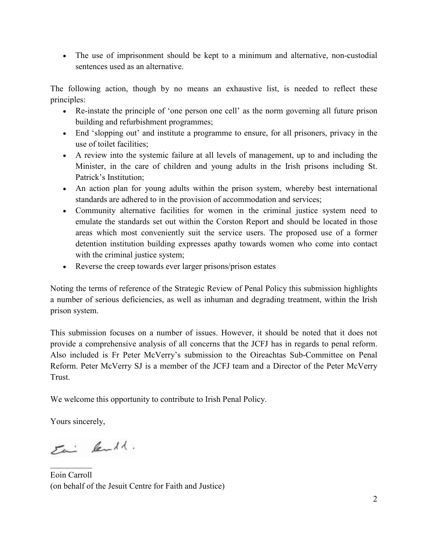• The use of imprisonment should be kept to a minimum and alternative, non-custodial sentences used as an alternative.

The following action, though by no means an exhaustive list, is needed to reflect these principles:

- Re-instate the principle of 'one person one cell' as the norm governing all future prison building and refurbishment programmes;
- End 'slopping out' and institute a programme to ensure, for all prisoners, privacy in the use of toilet facilities;
- A review into the systemic failure at all levels of management, up to and including the Minister, in the care of children and young adults in the Irish prisons including St. Patrick's Institution;
- An action plan for young adults within the prison system, whereby best international standards are adhered to in the provision of accommodation and services;
- Community alternative facilities for women in the criminal justice system need to emulate the standards set out within the Corston Report and should be located in those areas which most conveniently suit the service users. The proposed use of a former detention institution building expresses apathy towards women who come into contact with the criminal justice system;
- Reverse the creep towards ever larger prisons/prison estates

Noting the terms of reference of the Strategic Review of Penal Policy this submission highlights a number of serious deficiencies, as well as inhuman and degrading treatment, within the Irish prison system.

This submission focuses on a number of issues. However, it should be noted that it does not provide a comprehensive analysis of all concerns that the JCFJ has in regards to penal reform. Also included is Fr Peter McVerry's submission to the Oireachtas Sub-Committee on Penal Reform. Peter McVerry SJ is a member of the JCFJ team and a Director of the Peter McVerry Trust.

We welcome this opportunity to contribute to Irish Penal Policy.

Yours sincerely,

Eai lende.

 $\frac{1}{2}$ Eoin Carroll (on behalf of the Jesuit Centre for Faith and Justice)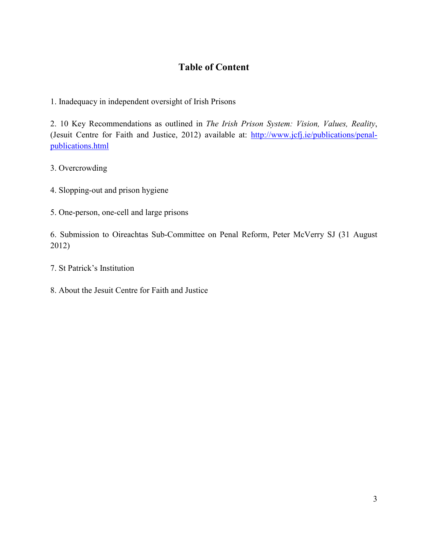# **Table of Content**

1. Inadequacy in independent oversight of Irish Prisons

2. 10 Key Recommendations as outlined in *The Irish Prison System: Vision, Values, Reality*, (Jesuit Centre for Faith and Justice, 2012) available at: http://www.jcfj.ie/publications/penalpublications.html

3. Overcrowding

- 4. Slopping-out and prison hygiene
- 5. One-person, one-cell and large prisons

6. Submission to Oireachtas Sub-Committee on Penal Reform, Peter McVerry SJ (31 August 2012)

- 7. St Patrick's Institution
- 8. About the Jesuit Centre for Faith and Justice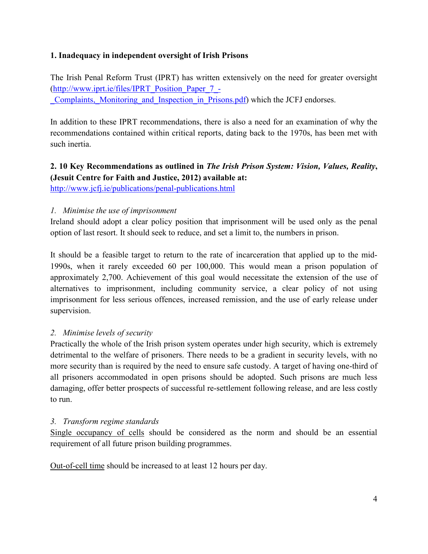## **1. Inadequacy in independent oversight of Irish Prisons**

The Irish Penal Reform Trust (IPRT) has written extensively on the need for greater oversight (http://www.iprt.ie/files/IPRT\_Position\_Paper\_7\_-

\_Complaints,\_Monitoring\_and\_Inspection\_in\_Prisons.pdf) which the JCFJ endorses.

In addition to these IPRT recommendations, there is also a need for an examination of why the recommendations contained within critical reports, dating back to the 1970s, has been met with such inertia.

# **2. 10 Key Recommendations as outlined in** *The Irish Prison System: Vision, Values, Reality***, (Jesuit Centre for Faith and Justice, 2012) available at:**

http://www.jcfj.ie/publications/penal-publications.html

## *1. Minimise the use of imprisonment*

Ireland should adopt a clear policy position that imprisonment will be used only as the penal option of last resort. It should seek to reduce, and set a limit to, the numbers in prison.

It should be a feasible target to return to the rate of incarceration that applied up to the mid-1990s, when it rarely exceeded 60 per 100,000. This would mean a prison population of approximately 2,700. Achievement of this goal would necessitate the extension of the use of alternatives to imprisonment, including community service, a clear policy of not using imprisonment for less serious offences, increased remission, and the use of early release under supervision.

# *2. Minimise levels of security*

Practically the whole of the Irish prison system operates under high security, which is extremely detrimental to the welfare of prisoners. There needs to be a gradient in security levels, with no more security than is required by the need to ensure safe custody. A target of having one-third of all prisoners accommodated in open prisons should be adopted. Such prisons are much less damaging, offer better prospects of successful re-settlement following release, and are less costly to run.

#### *3. Transform regime standards*

Single occupancy of cells should be considered as the norm and should be an essential requirement of all future prison building programmes.

Out-of-cell time should be increased to at least 12 hours per day.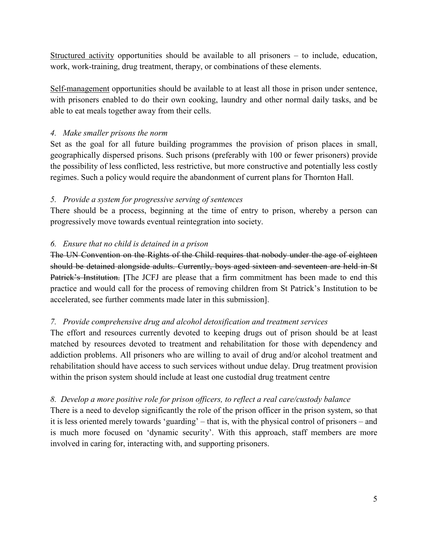Structured activity opportunities should be available to all prisoners – to include, education, work, work-training, drug treatment, therapy, or combinations of these elements.

Self-management opportunities should be available to at least all those in prison under sentence, with prisoners enabled to do their own cooking, laundry and other normal daily tasks, and be able to eat meals together away from their cells.

## *4. Make smaller prisons the norm*

Set as the goal for all future building programmes the provision of prison places in small, geographically dispersed prisons. Such prisons (preferably with 100 or fewer prisoners) provide the possibility of less conflicted, less restrictive, but more constructive and potentially less costly regimes. Such a policy would require the abandonment of current plans for Thornton Hall.

## *5. Provide a system for progressive serving of sentences*

There should be a process, beginning at the time of entry to prison, whereby a person can progressively move towards eventual reintegration into society.

## *6. Ensure that no child is detained in a prison*

The UN Convention on the Rights of the Child requires that nobody under the age of eighteen should be detained alongside adults. Currently, boys aged sixteen and seventeen are held in St Patrick's Institution. [The JCFJ are please that a firm commitment has been made to end this practice and would call for the process of removing children from St Patrick's Institution to be accelerated, see further comments made later in this submission].

# *7. Provide comprehensive drug and alcohol detoxification and treatment services*

The effort and resources currently devoted to keeping drugs out of prison should be at least matched by resources devoted to treatment and rehabilitation for those with dependency and addiction problems. All prisoners who are willing to avail of drug and/or alcohol treatment and rehabilitation should have access to such services without undue delay. Drug treatment provision within the prison system should include at least one custodial drug treatment centre

# *8. Develop a more positive role for prison officers, to reflect a real care/custody balance*

There is a need to develop significantly the role of the prison officer in the prison system, so that it is less oriented merely towards 'guarding' – that is, with the physical control of prisoners – and is much more focused on 'dynamic security'. With this approach, staff members are more involved in caring for, interacting with, and supporting prisoners.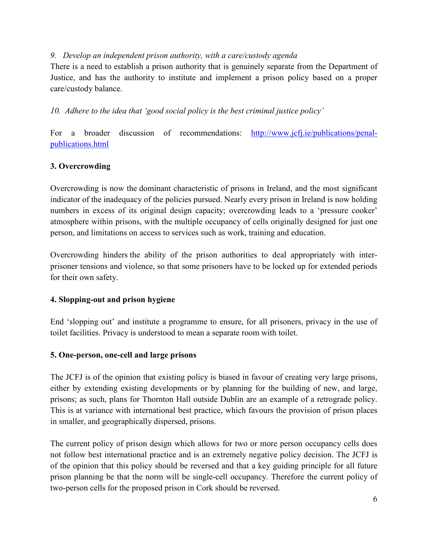#### *9. Develop an independent prison authority, with a care/custody agenda*

There is a need to establish a prison authority that is genuinely separate from the Department of Justice, and has the authority to institute and implement a prison policy based on a proper care/custody balance.

*10. Adhere to the idea that 'good social policy is the best criminal justice policy'* 

For a broader discussion of recommendations: http://www.jcfj.ie/publications/penalpublications.html

# **3. Overcrowding**

Overcrowding is now the dominant characteristic of prisons in Ireland, and the most significant indicator of the inadequacy of the policies pursued. Nearly every prison in Ireland is now holding numbers in excess of its original design capacity; overcrowding leads to a 'pressure cooker' atmosphere within prisons, with the multiple occupancy of cells originally designed for just one person, and limitations on access to services such as work, training and education.

Overcrowding hinders the ability of the prison authorities to deal appropriately with interprisoner tensions and violence, so that some prisoners have to be locked up for extended periods for their own safety.

#### **4. Slopping-out and prison hygiene**

End 'slopping out' and institute a programme to ensure, for all prisoners, privacy in the use of toilet facilities. Privacy is understood to mean a separate room with toilet.

#### **5. One-person, one-cell and large prisons**

The JCFJ is of the opinion that existing policy is biased in favour of creating very large prisons, either by extending existing developments or by planning for the building of new, and large, prisons; as such, plans for Thornton Hall outside Dublin are an example of a retrograde policy. This is at variance with international best practice, which favours the provision of prison places in smaller, and geographically dispersed, prisons.

The current policy of prison design which allows for two or more person occupancy cells does not follow best international practice and is an extremely negative policy decision. The JCFJ is of the opinion that this policy should be reversed and that a key guiding principle for all future prison planning be that the norm will be single-cell occupancy. Therefore the current policy of two-person cells for the proposed prison in Cork should be reversed.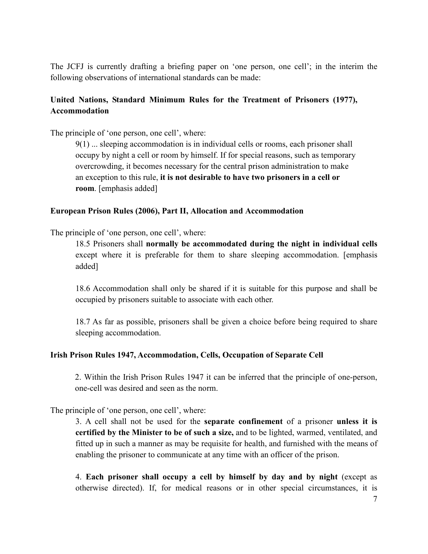The JCFJ is currently drafting a briefing paper on 'one person, one cell'; in the interim the following observations of international standards can be made:

# **United Nations, Standard Minimum Rules for the Treatment of Prisoners (1977), Accommodation**

The principle of 'one person, one cell', where:

9(1) ... sleeping accommodation is in individual cells or rooms, each prisoner shall occupy by night a cell or room by himself. If for special reasons, such as temporary overcrowding, it becomes necessary for the central prison administration to make an exception to this rule, **it is not desirable to have two prisoners in a cell or room**. [emphasis added]

#### **European Prison Rules (2006), Part II, Allocation and Accommodation**

The principle of 'one person, one cell', where:

18.5 Prisoners shall **normally be accommodated during the night in individual cells** except where it is preferable for them to share sleeping accommodation. [emphasis added]

18.6 Accommodation shall only be shared if it is suitable for this purpose and shall be occupied by prisoners suitable to associate with each other.

18.7 As far as possible, prisoners shall be given a choice before being required to share sleeping accommodation.

#### **Irish Prison Rules 1947, Accommodation, Cells, Occupation of Separate Cell**

2. Within the Irish Prison Rules 1947 it can be inferred that the principle of one-person, one-cell was desired and seen as the norm.

The principle of 'one person, one cell', where:

3. A cell shall not be used for the **separate confinement** of a prisoner **unless it is certified by the Minister to be of such a size,** and to be lighted, warmed, ventilated, and fitted up in such a manner as may be requisite for health, and furnished with the means of enabling the prisoner to communicate at any time with an officer of the prison.

4. **Each prisoner shall occupy a cell by himself by day and by night** (except as otherwise directed). If, for medical reasons or in other special circumstances, it is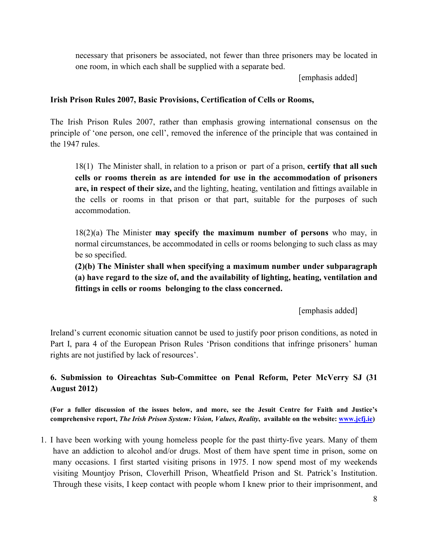necessary that prisoners be associated, not fewer than three prisoners may be located in one room, in which each shall be supplied with a separate bed.

[emphasis added]

#### **Irish Prison Rules 2007, Basic Provisions, Certification of Cells or Rooms,**

The Irish Prison Rules 2007, rather than emphasis growing international consensus on the principle of 'one person, one cell', removed the inference of the principle that was contained in the 1947 rules.

18(1) The Minister shall, in relation to a prison or part of a prison, **certify that all such cells or rooms therein as are intended for use in the accommodation of prisoners are, in respect of their size,** and the lighting, heating, ventilation and fittings available in the cells or rooms in that prison or that part, suitable for the purposes of such accommodation.

18(2)(a) The Minister **may specify the maximum number of persons** who may, in normal circumstances, be accommodated in cells or rooms belonging to such class as may be so specified.

**(2)(b) The Minister shall when specifying a maximum number under subparagraph (a) have regard to the size of, and the availability of lighting, heating, ventilation and fittings in cells or rooms belonging to the class concerned.** 

[emphasis added]

Ireland's current economic situation cannot be used to justify poor prison conditions, as noted in Part I, para 4 of the European Prison Rules 'Prison conditions that infringe prisoners' human rights are not justified by lack of resources'.

**6. Submission to Oireachtas Sub-Committee on Penal Reform, Peter McVerry SJ (31 August 2012)** 

**(For a fuller discussion of the issues below, and more, see the Jesuit Centre for Faith and Justice's comprehensive report,** *The Irish Prison System: Vision, Values, Reality***, available on the website: www.jcfj.ie)** 

1. I have been working with young homeless people for the past thirty-five years. Many of them have an addiction to alcohol and/or drugs. Most of them have spent time in prison, some on many occasions. I first started visiting prisons in 1975. I now spend most of my weekends visiting Mountjoy Prison, Cloverhill Prison, Wheatfield Prison and St. Patrick's Institution. Through these visits, I keep contact with people whom I knew prior to their imprisonment, and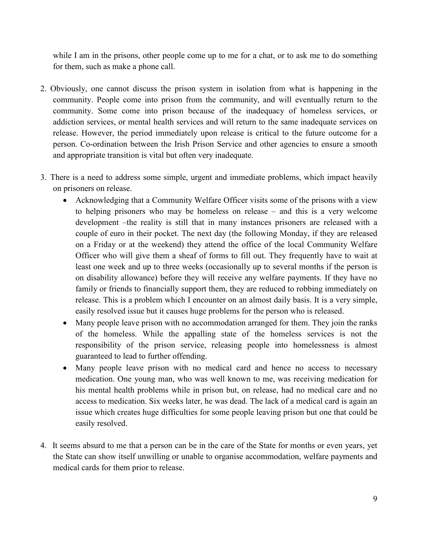while I am in the prisons, other people come up to me for a chat, or to ask me to do something for them, such as make a phone call.

- 2. Obviously, one cannot discuss the prison system in isolation from what is happening in the community. People come into prison from the community, and will eventually return to the community. Some come into prison because of the inadequacy of homeless services, or addiction services, or mental health services and will return to the same inadequate services on release. However, the period immediately upon release is critical to the future outcome for a person. Co-ordination between the Irish Prison Service and other agencies to ensure a smooth and appropriate transition is vital but often very inadequate.
- 3. There is a need to address some simple, urgent and immediate problems, which impact heavily on prisoners on release.
	- Acknowledging that a Community Welfare Officer visits some of the prisons with a view to helping prisoners who may be homeless on release – and this is a very welcome development –the reality is still that in many instances prisoners are released with a couple of euro in their pocket. The next day (the following Monday, if they are released on a Friday or at the weekend) they attend the office of the local Community Welfare Officer who will give them a sheaf of forms to fill out. They frequently have to wait at least one week and up to three weeks (occasionally up to several months if the person is on disability allowance) before they will receive any welfare payments. If they have no family or friends to financially support them, they are reduced to robbing immediately on release. This is a problem which I encounter on an almost daily basis. It is a very simple, easily resolved issue but it causes huge problems for the person who is released.
	- Many people leave prison with no accommodation arranged for them. They join the ranks of the homeless. While the appalling state of the homeless services is not the responsibility of the prison service, releasing people into homelessness is almost guaranteed to lead to further offending.
	- Many people leave prison with no medical card and hence no access to necessary medication. One young man, who was well known to me, was receiving medication for his mental health problems while in prison but, on release, had no medical care and no access to medication. Six weeks later, he was dead. The lack of a medical card is again an issue which creates huge difficulties for some people leaving prison but one that could be easily resolved.
- 4. It seems absurd to me that a person can be in the care of the State for months or even years, yet the State can show itself unwilling or unable to organise accommodation, welfare payments and medical cards for them prior to release.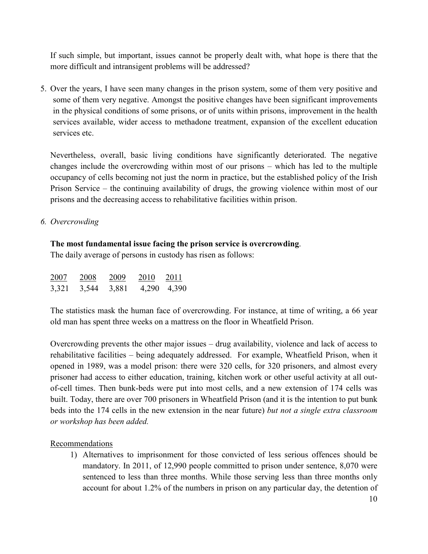If such simple, but important, issues cannot be properly dealt with, what hope is there that the more difficult and intransigent problems will be addressed?

5. Over the years, I have seen many changes in the prison system, some of them very positive and some of them very negative. Amongst the positive changes have been significant improvements in the physical conditions of some prisons, or of units within prisons, improvement in the health services available, wider access to methadone treatment, expansion of the excellent education services etc.

Nevertheless, overall, basic living conditions have significantly deteriorated. The negative changes include the overcrowding within most of our prisons – which has led to the multiple occupancy of cells becoming not just the norm in practice, but the established policy of the Irish Prison Service – the continuing availability of drugs, the growing violence within most of our prisons and the decreasing access to rehabilitative facilities within prison.

*6. Overcrowding* 

#### **The most fundamental issue facing the prison service is overcrowding**.

The daily average of persons in custody has risen as follows:

| 2007  | 2008  | 2009  | 2010  | 2011  |
|-------|-------|-------|-------|-------|
| 3,321 | 3,544 | 3,881 | 4,290 | 4,390 |

The statistics mask the human face of overcrowding. For instance, at time of writing, a 66 year old man has spent three weeks on a mattress on the floor in Wheatfield Prison.

Overcrowding prevents the other major issues – drug availability, violence and lack of access to rehabilitative facilities – being adequately addressed. For example, Wheatfield Prison, when it opened in 1989, was a model prison: there were 320 cells, for 320 prisoners, and almost every prisoner had access to either education, training, kitchen work or other useful activity at all outof-cell times. Then bunk-beds were put into most cells, and a new extension of 174 cells was built. Today, there are over 700 prisoners in Wheatfield Prison (and it is the intention to put bunk beds into the 174 cells in the new extension in the near future) *but not a single extra classroom or workshop has been added.* 

#### Recommendations

1) Alternatives to imprisonment for those convicted of less serious offences should be mandatory. In 2011, of 12,990 people committed to prison under sentence, 8,070 were sentenced to less than three months. While those serving less than three months only account for about 1.2% of the numbers in prison on any particular day, the detention of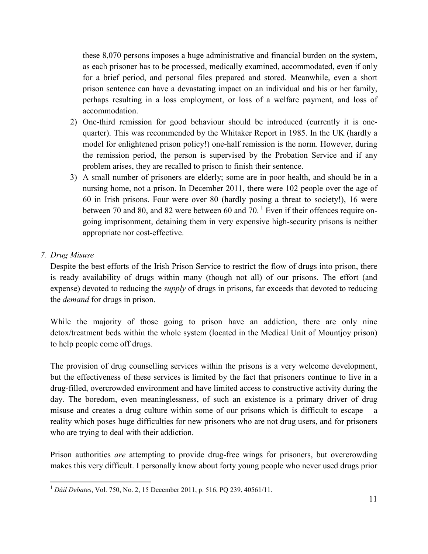these 8,070 persons imposes a huge administrative and financial burden on the system, as each prisoner has to be processed, medically examined, accommodated, even if only for a brief period, and personal files prepared and stored. Meanwhile, even a short prison sentence can have a devastating impact on an individual and his or her family, perhaps resulting in a loss employment, or loss of a welfare payment, and loss of accommodation.

- 2) One-third remission for good behaviour should be introduced (currently it is onequarter). This was recommended by the Whitaker Report in 1985. In the UK (hardly a model for enlightened prison policy!) one-half remission is the norm. However, during the remission period, the person is supervised by the Probation Service and if any problem arises, they are recalled to prison to finish their sentence.
- 3) A small number of prisoners are elderly; some are in poor health, and should be in a nursing home, not a prison. In December 2011, there were 102 people over the age of 60 in Irish prisons. Four were over 80 (hardly posing a threat to society!), 16 were between 70 and 80, and 82 were between 60 and 70.<sup>1</sup> Even if their offences require ongoing imprisonment, detaining them in very expensive high-security prisons is neither appropriate nor cost-effective.

## *7. Drug Misuse*

 $\overline{a}$ 

Despite the best efforts of the Irish Prison Service to restrict the flow of drugs into prison, there is ready availability of drugs within many (though not all) of our prisons. The effort (and expense) devoted to reducing the *supply* of drugs in prisons, far exceeds that devoted to reducing the *demand* for drugs in prison.

While the majority of those going to prison have an addiction, there are only nine detox/treatment beds within the whole system (located in the Medical Unit of Mountjoy prison) to help people come off drugs.

The provision of drug counselling services within the prisons is a very welcome development, but the effectiveness of these services is limited by the fact that prisoners continue to live in a drug-filled, overcrowded environment and have limited access to constructive activity during the day. The boredom, even meaninglessness, of such an existence is a primary driver of drug misuse and creates a drug culture within some of our prisons which is difficult to escape  $-$  a reality which poses huge difficulties for new prisoners who are not drug users, and for prisoners who are trying to deal with their addiction.

Prison authorities *are* attempting to provide drug-free wings for prisoners, but overcrowding makes this very difficult. I personally know about forty young people who never used drugs prior

<sup>1</sup> *Dáil Debates*, Vol. 750, No. 2, 15 December 2011, p. 516, PQ 239, 40561/11.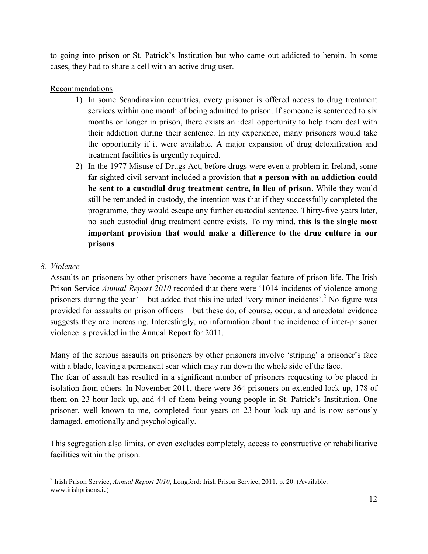to going into prison or St. Patrick's Institution but who came out addicted to heroin. In some cases, they had to share a cell with an active drug user.

## **Recommendations**

- 1) In some Scandinavian countries, every prisoner is offered access to drug treatment services within one month of being admitted to prison. If someone is sentenced to six months or longer in prison, there exists an ideal opportunity to help them deal with their addiction during their sentence. In my experience, many prisoners would take the opportunity if it were available. A major expansion of drug detoxification and treatment facilities is urgently required.
- 2) In the 1977 Misuse of Drugs Act, before drugs were even a problem in Ireland, some far-sighted civil servant included a provision that **a person with an addiction could be sent to a custodial drug treatment centre, in lieu of prison**. While they would still be remanded in custody, the intention was that if they successfully completed the programme, they would escape any further custodial sentence. Thirty-five years later, no such custodial drug treatment centre exists. To my mind, **this is the single most important provision that would make a difference to the drug culture in our prisons**.

## *8. Violence*

 $\overline{a}$ 

Assaults on prisoners by other prisoners have become a regular feature of prison life. The Irish Prison Service *Annual Report 2010* recorded that there were '1014 incidents of violence among prisoners during the year'  $-$  but added that this included 'very minor incidents'.<sup>2</sup> No figure was provided for assaults on prison officers – but these do, of course, occur, and anecdotal evidence suggests they are increasing. Interestingly, no information about the incidence of inter-prisoner violence is provided in the Annual Report for 2011.

Many of the serious assaults on prisoners by other prisoners involve 'striping' a prisoner's face with a blade, leaving a permanent scar which may run down the whole side of the face.

The fear of assault has resulted in a significant number of prisoners requesting to be placed in isolation from others. In November 2011, there were 364 prisoners on extended lock-up, 178 of them on 23-hour lock up, and 44 of them being young people in St. Patrick's Institution. One prisoner, well known to me, completed four years on 23-hour lock up and is now seriously damaged, emotionally and psychologically.

This segregation also limits, or even excludes completely, access to constructive or rehabilitative facilities within the prison.

<sup>2</sup> Irish Prison Service, *Annual Report 2010*, Longford: Irish Prison Service, 2011, p. 20. (Available: www.irishprisons.ie)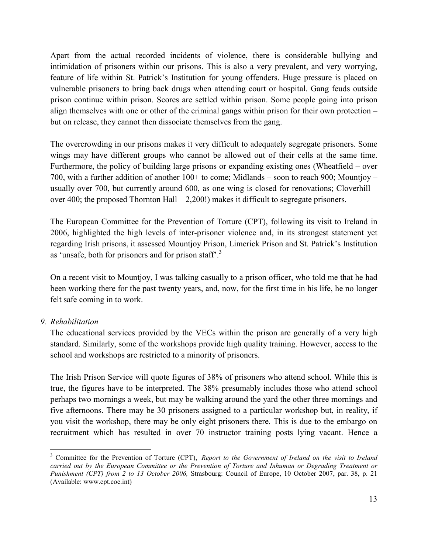Apart from the actual recorded incidents of violence, there is considerable bullying and intimidation of prisoners within our prisons. This is also a very prevalent, and very worrying, feature of life within St. Patrick's Institution for young offenders. Huge pressure is placed on vulnerable prisoners to bring back drugs when attending court or hospital. Gang feuds outside prison continue within prison. Scores are settled within prison. Some people going into prison align themselves with one or other of the criminal gangs within prison for their own protection – but on release, they cannot then dissociate themselves from the gang.

The overcrowding in our prisons makes it very difficult to adequately segregate prisoners. Some wings may have different groups who cannot be allowed out of their cells at the same time. Furthermore, the policy of building large prisons or expanding existing ones (Wheatfield – over 700, with a further addition of another 100+ to come; Midlands – soon to reach 900; Mountjoy – usually over 700, but currently around 600, as one wing is closed for renovations; Cloverhill – over 400; the proposed Thornton Hall – 2,200!) makes it difficult to segregate prisoners.

The European Committee for the Prevention of Torture (CPT), following its visit to Ireland in 2006, highlighted the high levels of inter-prisoner violence and, in its strongest statement yet regarding Irish prisons, it assessed Mountjoy Prison, Limerick Prison and St. Patrick's Institution as 'unsafe, both for prisoners and for prison staff'.<sup>3</sup>

On a recent visit to Mountjoy, I was talking casually to a prison officer, who told me that he had been working there for the past twenty years, and, now, for the first time in his life, he no longer felt safe coming in to work.

#### *9. Rehabilitation*

l

The educational services provided by the VECs within the prison are generally of a very high standard. Similarly, some of the workshops provide high quality training. However, access to the school and workshops are restricted to a minority of prisoners.

The Irish Prison Service will quote figures of 38% of prisoners who attend school. While this is true, the figures have to be interpreted. The 38% presumably includes those who attend school perhaps two mornings a week, but may be walking around the yard the other three mornings and five afternoons. There may be 30 prisoners assigned to a particular workshop but, in reality, if you visit the workshop, there may be only eight prisoners there. This is due to the embargo on recruitment which has resulted in over 70 instructor training posts lying vacant. Hence a

<sup>&</sup>lt;sup>3</sup> Committee for the Prevention of Torture (CPT), *Report to the Government of Ireland on the visit to Ireland carried out by the European Committee or the Prevention of Torture and Inhuman or Degrading Treatment or Punishment (CPT) from 2 to 13 October 2006,* Strasbourg: Council of Europe, 10 October 2007, par. 38, p. 21 (Available: www.cpt.coe.int)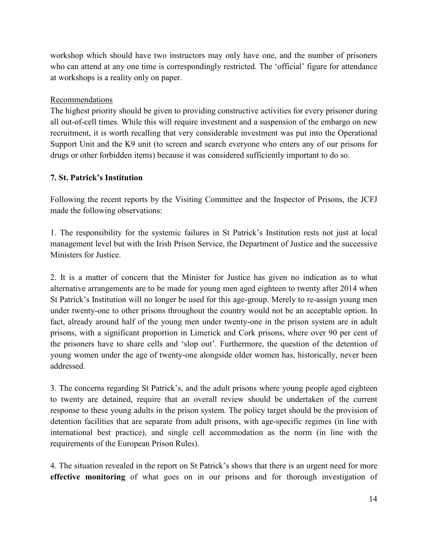workshop which should have two instructors may only have one, and the number of prisoners who can attend at any one time is correspondingly restricted. The 'official' figure for attendance at workshops is a reality only on paper.

## Recommendations

The highest priority should be given to providing constructive activities for every prisoner during all out-of-cell times. While this will require investment and a suspension of the embargo on new recruitment, it is worth recalling that very considerable investment was put into the Operational Support Unit and the K9 unit (to screen and search everyone who enters any of our prisons for drugs or other forbidden items) because it was considered sufficiently important to do so.

## **7. St. Patrick's Institution**

Following the recent reports by the Visiting Committee and the Inspector of Prisons, the JCFJ made the following observations:

1. The responsibility for the systemic failures in St Patrick's Institution rests not just at local management level but with the Irish Prison Service, the Department of Justice and the successive Ministers for Justice.

2. It is a matter of concern that the Minister for Justice has given no indication as to what alternative arrangements are to be made for young men aged eighteen to twenty after 2014 when St Patrick's Institution will no longer be used for this age-group. Merely to re-assign young men under twenty-one to other prisons throughout the country would not be an acceptable option. In fact, already around half of the young men under twenty-one in the prison system are in adult prisons, with a significant proportion in Limerick and Cork prisons, where over 90 per cent of the prisoners have to share cells and 'slop out'. Furthermore, the question of the detention of young women under the age of twenty-one alongside older women has, historically, never been addressed.

3. The concerns regarding St Patrick's, and the adult prisons where young people aged eighteen to twenty are detained, require that an overall review should be undertaken of the current response to these young adults in the prison system. The policy target should be the provision of detention facilities that are separate from adult prisons, with age-specific regimes (in line with international best practice), and single cell accommodation as the norm (in line with the requirements of the European Prison Rules).

4. The situation revealed in the report on St Patrick's shows that there is an urgent need for more **effective monitoring** of what goes on in our prisons and for thorough investigation of